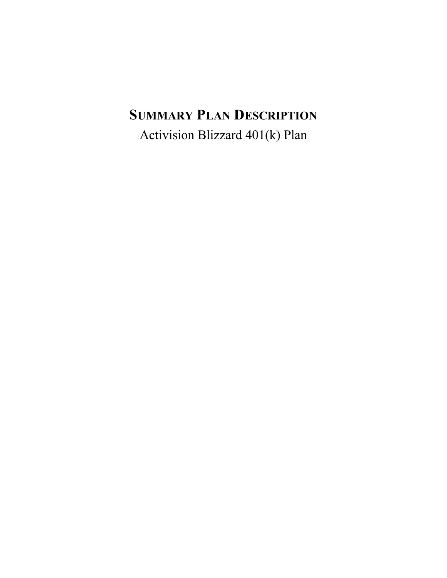# **SUMMARY PLAN DESCRIPTION**

Activision Blizzard 401(k) Plan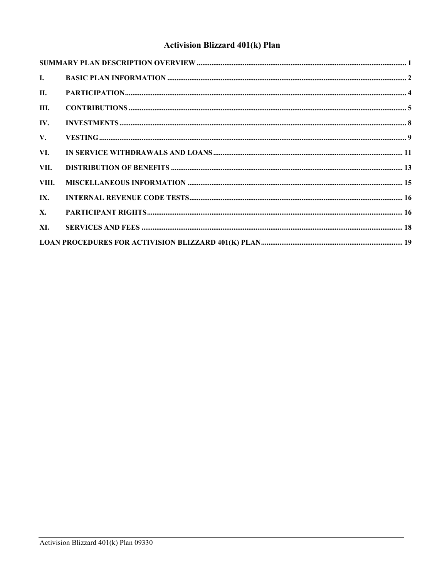# **Activision Blizzard 401(k) Plan**

| $\mathbf{I}$ . |  |
|----------------|--|
| <b>II.</b>     |  |
| Ш.             |  |
| IV.            |  |
| $V_{\star}$    |  |
| VI.            |  |
| VII.           |  |
| VIII.          |  |
| IX.            |  |
| $\mathbf{X}$ . |  |
| XI.            |  |
|                |  |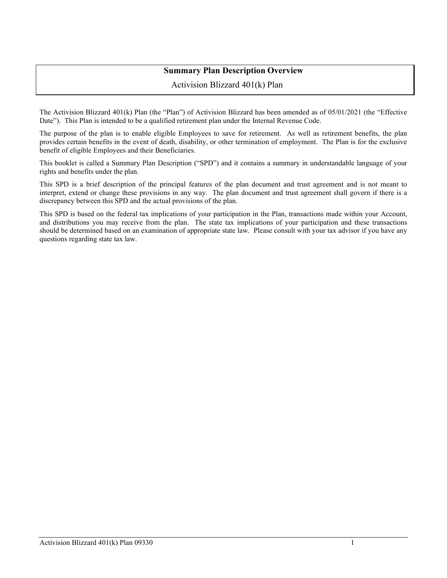# **Summary Plan Description Overview**

Activision Blizzard 401(k) Plan

<span id="page-2-0"></span>The Activision Blizzard 401(k) Plan (the "Plan") of Activision Blizzard has been amended as of 05/01/2021 (the "Effective Date"). This Plan is intended to be a qualified retirement plan under the Internal Revenue Code.

The purpose of the plan is to enable eligible Employees to save for retirement. As well as retirement benefits, the plan provides certain benefits in the event of death, disability, or other termination of employment. The Plan is for the exclusive benefit of eligible Employees and their Beneficiaries.

This booklet is called a Summary Plan Description ("SPD") and it contains a summary in understandable language of your rights and benefits under the plan.

This SPD is a brief description of the principal features of the plan document and trust agreement and is not meant to interpret, extend or change these provisions in any way. The plan document and trust agreement shall govern if there is a discrepancy between this SPD and the actual provisions of the plan.

This SPD is based on the federal tax implications of your participation in the Plan, transactions made within your Account, and distributions you may receive from the plan. The state tax implications of your participation and these transactions should be determined based on an examination of appropriate state law. Please consult with your tax advisor if you have any questions regarding state tax law.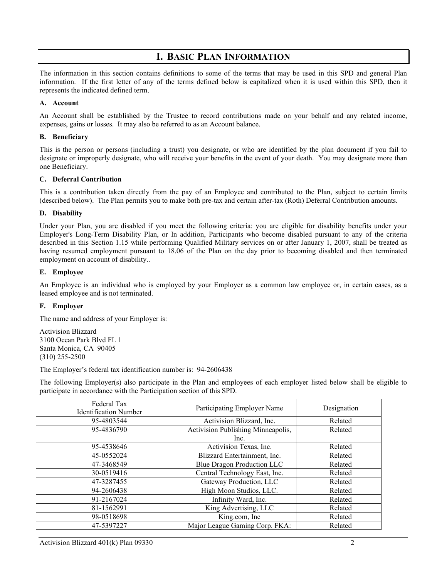# **I. BASIC PLAN INFORMATION**

<span id="page-3-0"></span>The information in this section contains definitions to some of the terms that may be used in this SPD and general Plan information. If the first letter of any of the terms defined below is capitalized when it is used within this SPD, then it represents the indicated defined term.

#### **A. Account**

An Account shall be established by the Trustee to record contributions made on your behalf and any related income, expenses, gains or losses. It may also be referred to as an Account balance.

#### **B. Beneficiary**

This is the person or persons (including a trust) you designate, or who are identified by the plan document if you fail to designate or improperly designate, who will receive your benefits in the event of your death. You may designate more than one Beneficiary.

#### **C. Deferral Contribution**

This is a contribution taken directly from the pay of an Employee and contributed to the Plan, subject to certain limits (described below). The Plan permits you to make both pre-tax and certain after-tax (Roth) Deferral Contribution amounts.

#### **D. Disability**

Under your Plan, you are disabled if you meet the following criteria: you are eligible for disability benefits under your Employer's Long-Term Disability Plan, or In addition, Participants who become disabled pursuant to any of the criteria described in this Section 1.15 while performing Qualified Military services on or after January 1, 2007, shall be treated as having resumed employment pursuant to 18.06 of the Plan on the day prior to becoming disabled and then terminated employment on account of disability..

#### **E. Employee**

An Employee is an individual who is employed by your Employer as a common law employee or, in certain cases, as a leased employee and is not terminated.

#### **F. Employer**

The name and address of your Employer is:

Activision Blizzard 3100 Ocean Park Blvd FL 1 Santa Monica, CA 90405 (310) 255-2500

The Employer's federal tax identification number is: 94-2606438

The following Employer(s) also participate in the Plan and employees of each employer listed below shall be eligible to participate in accordance with the Participation section of this SPD.

| Federal Tax<br><b>Identification Number</b> | Participating Employer Name        | Designation |
|---------------------------------------------|------------------------------------|-------------|
| 95-4803544                                  | Activision Blizzard, Inc.          | Related     |
| 95-4836790                                  | Activision Publishing Minneapolis, | Related     |
|                                             | Inc.                               |             |
| 95-4538646                                  | Activision Texas, Inc.             | Related     |
| 45-0552024                                  | Blizzard Entertainment, Inc.       | Related     |
| 47-3468549                                  | Blue Dragon Production LLC         | Related     |
| 30-0519416                                  | Central Technology East, Inc.      | Related     |
| 47-3287455                                  | Gateway Production, LLC            | Related     |
| 94-2606438                                  | High Moon Studios, LLC.            | Related     |
| 91-2167024                                  | Infinity Ward, Inc.                | Related     |
| 81-1562991                                  | King Advertising, LLC              | Related     |
| 98-0518698                                  | King.com, Inc                      | Related     |
| 47-5397227                                  | Major League Gaming Corp. FKA:     | Related     |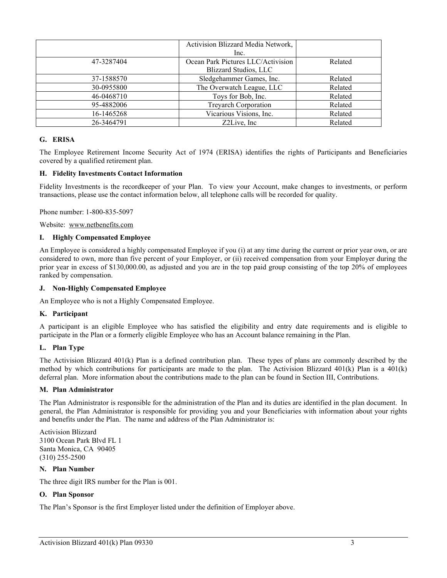|            | Activision Blizzard Media Network, |         |
|------------|------------------------------------|---------|
|            | Inc.                               |         |
| 47-3287404 | Ocean Park Pictures LLC/Activision | Related |
|            | <b>Blizzard Studios, LLC</b>       |         |
| 37-1588570 | Sledgehammer Games, Inc.           | Related |
| 30-0955800 | The Overwatch League, LLC          | Related |
| 46-0468710 | Toys for Bob, Inc.                 | Related |
| 95-4882006 | Treyarch Corporation               | Related |
| 16-1465268 | Vicarious Visions, Inc.            | Related |
| 26-3464791 | Z2Live. Inc.                       | Related |

#### **G. ERISA**

The Employee Retirement Income Security Act of 1974 (ERISA) identifies the rights of Participants and Beneficiaries covered by a qualified retirement plan.

#### **H. Fidelity Investments Contact Information**

Fidelity Investments is the recordkeeper of your Plan. To view your Account, make changes to investments, or perform transactions, please use the contact information below, all telephone calls will be recorded for quality.

Phone number: 1-800-835-5097

Website: www.netbenefits.com

#### **I. Highly Compensated Employee**

An Employee is considered a highly compensated Employee if you (i) at any time during the current or prior year own, or are considered to own, more than five percent of your Employer, or (ii) received compensation from your Employer during the prior year in excess of \$130,000.00, as adjusted and you are in the top paid group consisting of the top 20% of employees ranked by compensation.

#### **J. Non-Highly Compensated Employee**

An Employee who is not a Highly Compensated Employee.

#### **K. Participant**

A participant is an eligible Employee who has satisfied the eligibility and entry date requirements and is eligible to participate in the Plan or a formerly eligible Employee who has an Account balance remaining in the Plan.

#### **L. Plan Type**

The Activision Blizzard 401(k) Plan is a defined contribution plan. These types of plans are commonly described by the method by which contributions for participants are made to the plan. The Activision Blizzard 401(k) Plan is a 401(k) deferral plan. More information about the contributions made to the plan can be found in Section III, Contributions.

#### **M. Plan Administrator**

The Plan Administrator is responsible for the administration of the Plan and its duties are identified in the plan document. In general, the Plan Administrator is responsible for providing you and your Beneficiaries with information about your rights and benefits under the Plan. The name and address of the Plan Administrator is:

Activision Blizzard 3100 Ocean Park Blvd FL 1 Santa Monica, CA 90405 (310) 255-2500

#### **N. Plan Number**

The three digit IRS number for the Plan is 001.

#### **O. Plan Sponsor**

The Plan's Sponsor is the first Employer listed under the definition of Employer above.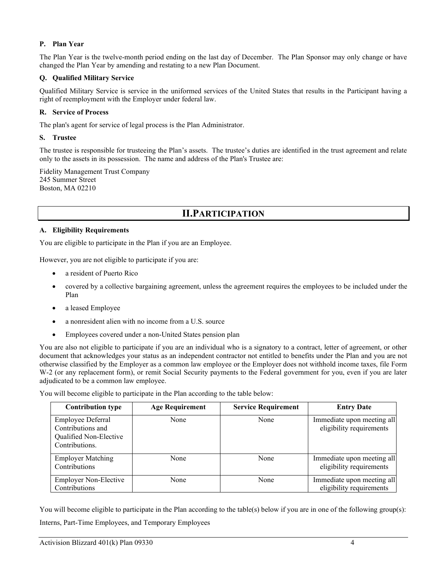# **P. Plan Year**

The Plan Year is the twelve-month period ending on the last day of December. The Plan Sponsor may only change or have changed the Plan Year by amending and restating to a new Plan Document.

### **Q. Qualified Military Service**

Qualified Military Service is service in the uniformed services of the United States that results in the Participant having a right of reemployment with the Employer under federal law.

### **R. Service of Process**

The plan's agent for service of legal process is the Plan Administrator.

### **S. Trustee**

The trustee is responsible for trusteeing the Plan's assets. The trustee's duties are identified in the trust agreement and relate only to the assets in its possession. The name and address of the Plan's Trustee are:

<span id="page-5-0"></span>Fidelity Management Trust Company 245 Summer Street Boston, MA 02210

# **II.PARTICIPATION**

# **A. Eligibility Requirements**

You are eligible to participate in the Plan if you are an Employee.

However, you are not eligible to participate if you are:

- a resident of Puerto Rico
- covered by a collective bargaining agreement, unless the agreement requires the employees to be included under the Plan
- a leased Employee
- a nonresident alien with no income from a U.S. source
- Employees covered under a non-United States pension plan

You are also not eligible to participate if you are an individual who is a signatory to a contract, letter of agreement, or other document that acknowledges your status as an independent contractor not entitled to benefits under the Plan and you are not otherwise classified by the Employer as a common law employee or the Employer does not withhold income taxes, file Form W-2 (or any replacement form), or remit Social Security payments to the Federal government for you, even if you are later adjudicated to be a common law employee.

You will become eligible to participate in the Plan according to the table below:

| <b>Contribution type</b>                                                           | <b>Age Requirement</b> | <b>Service Requirement</b> | <b>Entry Date</b>                                      |
|------------------------------------------------------------------------------------|------------------------|----------------------------|--------------------------------------------------------|
| Employee Deferral<br>Contributions and<br>Qualified Non-Elective<br>Contributions. | None                   | None                       | Immediate upon meeting all<br>eligibility requirements |
| <b>Employer Matching</b><br>Contributions                                          | None                   | None                       | Immediate upon meeting all<br>eligibility requirements |
| <b>Employer Non-Elective</b><br>Contributions                                      | None                   | None                       | Immediate upon meeting all<br>eligibility requirements |

You will become eligible to participate in the Plan according to the table(s) below if you are in one of the following group(s): Interns, Part-Time Employees, and Temporary Employees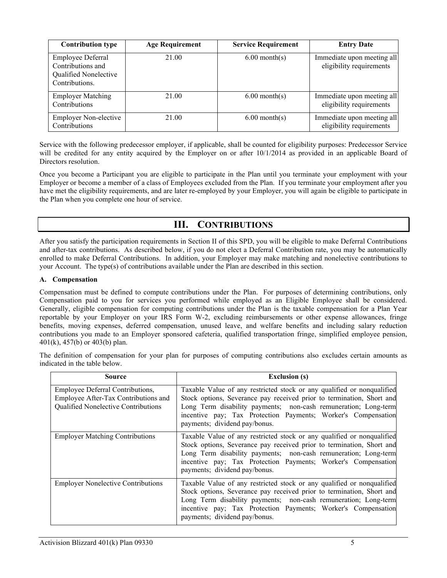| <b>Contribution type</b>                                                          | <b>Age Requirement</b> | <b>Service Requirement</b> | <b>Entry Date</b>                                      |
|-----------------------------------------------------------------------------------|------------------------|----------------------------|--------------------------------------------------------|
| Employee Deferral<br>Contributions and<br>Qualified Nonelective<br>Contributions. | 21.00                  | $6.00$ month(s)            | Immediate upon meeting all<br>eligibility requirements |
| <b>Employer Matching</b><br>Contributions                                         | 21.00                  | $6.00$ month(s)            | Immediate upon meeting all<br>eligibility requirements |
| <b>Employer Non-elective</b><br>Contributions                                     | 21.00                  | $6.00$ month(s)            | Immediate upon meeting all<br>eligibility requirements |

Service with the following predecessor employer, if applicable, shall be counted for eligibility purposes: Predecessor Service will be credited for any entity acquired by the Employer on or after  $10/1/2014$  as provided in an applicable Board of Directors resolution.

Once you become a Participant you are eligible to participate in the Plan until you terminate your employment with your Employer or become a member of a class of Employees excluded from the Plan. If you terminate your employment after you have met the eligibility requirements, and are later re-employed by your Employer, you will again be eligible to participate in the Plan when you complete one hour of service.

# **III. CONTRIBUTIONS**

<span id="page-6-0"></span>After you satisfy the participation requirements in Section II of this SPD, you will be eligible to make Deferral Contributions and after-tax contributions. As described below, if you do not elect a Deferral Contribution rate, you may be automatically enrolled to make Deferral Contributions. In addition, your Employer may make matching and nonelective contributions to your Account. The type(s) of contributions available under the Plan are described in this section.

# **A. Compensation**

Compensation must be defined to compute contributions under the Plan. For purposes of determining contributions, only Compensation paid to you for services you performed while employed as an Eligible Employee shall be considered. Generally, eligible compensation for computing contributions under the Plan is the taxable compensation for a Plan Year reportable by your Employer on your IRS Form W-2, excluding reimbursements or other expense allowances, fringe benefits, moving expenses, deferred compensation, unused leave, and welfare benefits and including salary reduction contributions you made to an Employer sponsored cafeteria, qualified transportation fringe, simplified employee pension, 401(k), 457(b) or 403(b) plan.

The definition of compensation for your plan for purposes of computing contributions also excludes certain amounts as indicated in the table below.

| Source                                                                                                          | <b>Exclusion (s)</b>                                                                                                                                                                                                                                                                                                 |
|-----------------------------------------------------------------------------------------------------------------|----------------------------------------------------------------------------------------------------------------------------------------------------------------------------------------------------------------------------------------------------------------------------------------------------------------------|
| Employee Deferral Contributions,<br>Employee After-Tax Contributions and<br>Qualified Nonelective Contributions | Taxable Value of any restricted stock or any qualified or nonqualified<br>Stock options, Severance pay received prior to termination, Short and<br>Long Term disability payments; non-cash remuneration; Long-term<br>incentive pay; Tax Protection Payments; Worker's Compensation<br>payments; dividend pay/bonus. |
| <b>Employer Matching Contributions</b>                                                                          | Taxable Value of any restricted stock or any qualified or nonqualified<br>Stock options, Severance pay received prior to termination, Short and<br>Long Term disability payments; non-cash remuneration; Long-term<br>incentive pay; Tax Protection Payments; Worker's Compensation<br>payments; dividend pay/bonus. |
| <b>Employer Nonelective Contributions</b>                                                                       | Taxable Value of any restricted stock or any qualified or nonqualified<br>Stock options, Severance pay received prior to termination, Short and<br>Long Term disability payments; non-cash remuneration; Long-term<br>incentive pay; Tax Protection Payments; Worker's Compensation<br>payments; dividend pay/bonus. |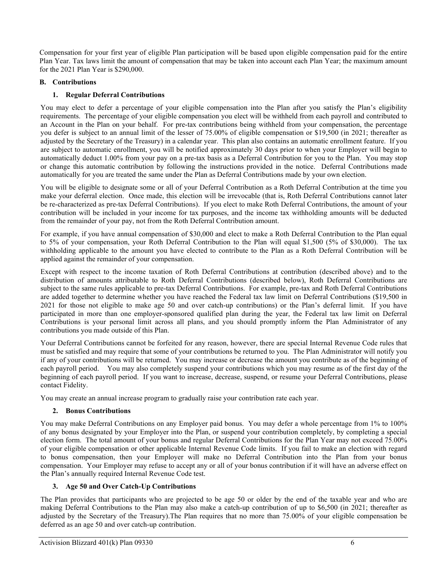Compensation for your first year of eligible Plan participation will be based upon eligible compensation paid for the entire Plan Year. Tax laws limit the amount of compensation that may be taken into account each Plan Year; the maximum amount for the 2021 Plan Year is \$290,000.

# **B. Contributions**

# **1. Regular Deferral Contributions**

You may elect to defer a percentage of your eligible compensation into the Plan after you satisfy the Plan's eligibility requirements. The percentage of your eligible compensation you elect will be withheld from each payroll and contributed to an Account in the Plan on your behalf. For pre-tax contributions being withheld from your compensation, the percentage you defer is subject to an annual limit of the lesser of 75.00% of eligible compensation or \$19,500 (in 2021; thereafter as adjusted by the Secretary of the Treasury) in a calendar year. This plan also contains an automatic enrollment feature. If you are subject to automatic enrollment, you will be notified approximately 30 days prior to when your Employer will begin to automatically deduct 1.00% from your pay on a pre-tax basis as a Deferral Contribution for you to the Plan. You may stop or change this automatic contribution by following the instructions provided in the notice. Deferral Contributions made automatically for you are treated the same under the Plan as Deferral Contributions made by your own election.

You will be eligible to designate some or all of your Deferral Contribution as a Roth Deferral Contribution at the time you make your deferral election. Once made, this election will be irrevocable (that is, Roth Deferral Contributions cannot later be re-characterized as pre-tax Deferral Contributions). If you elect to make Roth Deferral Contributions, the amount of your contribution will be included in your income for tax purposes, and the income tax withholding amounts will be deducted from the remainder of your pay, not from the Roth Deferral Contribution amount.

For example, if you have annual compensation of \$30,000 and elect to make a Roth Deferral Contribution to the Plan equal to 5% of your compensation, your Roth Deferral Contribution to the Plan will equal \$1,500 (5% of \$30,000). The tax withholding applicable to the amount you have elected to contribute to the Plan as a Roth Deferral Contribution will be applied against the remainder of your compensation.

Except with respect to the income taxation of Roth Deferral Contributions at contribution (described above) and to the distribution of amounts attributable to Roth Deferral Contributions (described below), Roth Deferral Contributions are subject to the same rules applicable to pre-tax Deferral Contributions. For example, pre-tax and Roth Deferral Contributions are added together to determine whether you have reached the Federal tax law limit on Deferral Contributions (\$19,500 in 2021 for those not eligible to make age 50 and over catch-up contributions) or the Plan's deferral limit. If you have participated in more than one employer-sponsored qualified plan during the year, the Federal tax law limit on Deferral Contributions is your personal limit across all plans, and you should promptly inform the Plan Administrator of any contributions you made outside of this Plan.

Your Deferral Contributions cannot be forfeited for any reason, however, there are special Internal Revenue Code rules that must be satisfied and may require that some of your contributions be returned to you. The Plan Administrator will notify you if any of your contributions will be returned. You may increase or decrease the amount you contribute as of the beginning of each payroll period. You may also completely suspend your contributions which you may resume as of the first day of the beginning of each payroll period. If you want to increase, decrease, suspend, or resume your Deferral Contributions, please contact Fidelity.

You may create an annual increase program to gradually raise your contribution rate each year.

# **2. Bonus Contributions**

You may make Deferral Contributions on any Employer paid bonus. You may defer a whole percentage from 1% to 100% of any bonus designated by your Employer into the Plan, or suspend your contribution completely, by completing a special election form. The total amount of your bonus and regular Deferral Contributions for the Plan Year may not exceed 75.00% of your eligible compensation or other applicable Internal Revenue Code limits. If you fail to make an election with regard to bonus compensation, then your Employer will make no Deferral Contribution into the Plan from your bonus compensation. Your Employer may refuse to accept any or all of your bonus contribution if it will have an adverse effect on the Plan's annually required Internal Revenue Code test.

# **3. Age 50 and Over Catch-Up Contributions**

The Plan provides that participants who are projected to be age 50 or older by the end of the taxable year and who are making Deferral Contributions to the Plan may also make a catch-up contribution of up to \$6,500 (in 2021; thereafter as adjusted by the Secretary of the Treasury).The Plan requires that no more than 75.00% of your eligible compensation be deferred as an age 50 and over catch-up contribution.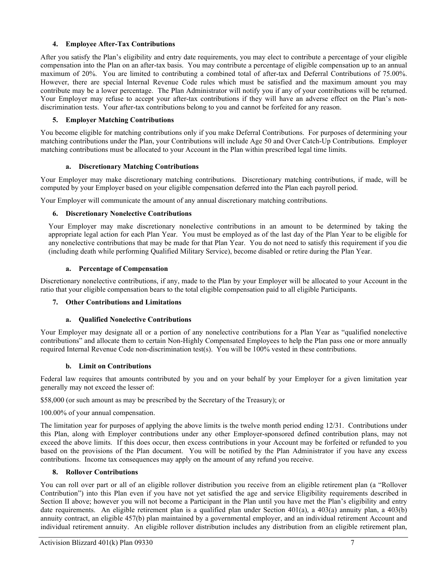# **4. Employee After-Tax Contributions**

After you satisfy the Plan's eligibility and entry date requirements, you may elect to contribute a percentage of your eligible compensation into the Plan on an after-tax basis. You may contribute a percentage of eligible compensation up to an annual maximum of 20%. You are limited to contributing a combined total of after-tax and Deferral Contributions of 75.00%. However, there are special Internal Revenue Code rules which must be satisfied and the maximum amount you may contribute may be a lower percentage. The Plan Administrator will notify you if any of your contributions will be returned. Your Employer may refuse to accept your after-tax contributions if they will have an adverse effect on the Plan's nondiscrimination tests. Your after-tax contributions belong to you and cannot be forfeited for any reason.

### **5. Employer Matching Contributions**

You become eligible for matching contributions only if you make Deferral Contributions. For purposes of determining your matching contributions under the Plan, your Contributions will include Age 50 and Over Catch-Up Contributions. Employer matching contributions must be allocated to your Account in the Plan within prescribed legal time limits.

# **a. Discretionary Matching Contributions**

Your Employer may make discretionary matching contributions. Discretionary matching contributions, if made, will be computed by your Employer based on your eligible compensation deferred into the Plan each payroll period.

Your Employer will communicate the amount of any annual discretionary matching contributions.

#### **6. Discretionary Nonelective Contributions**

Your Employer may make discretionary nonelective contributions in an amount to be determined by taking the appropriate legal action for each Plan Year. You must be employed as of the last day of the Plan Year to be eligible for any nonelective contributions that may be made for that Plan Year. You do not need to satisfy this requirement if you die (including death while performing Qualified Military Service), become disabled or retire during the Plan Year.

#### **a. Percentage of Compensation**

Discretionary nonelective contributions, if any, made to the Plan by your Employer will be allocated to your Account in the ratio that your eligible compensation bears to the total eligible compensation paid to all eligible Participants.

#### **7. Other Contributions and Limitations**

#### **a. Qualified Nonelective Contributions**

Your Employer may designate all or a portion of any nonelective contributions for a Plan Year as "qualified nonelective contributions" and allocate them to certain Non-Highly Compensated Employees to help the Plan pass one or more annually required Internal Revenue Code non-discrimination test(s). You will be 100% vested in these contributions.

#### **b. Limit on Contributions**

Federal law requires that amounts contributed by you and on your behalf by your Employer for a given limitation year generally may not exceed the lesser of:

\$58,000 (or such amount as may be prescribed by the Secretary of the Treasury); or

100.00% of your annual compensation.

The limitation year for purposes of applying the above limits is the twelve month period ending 12/31. Contributions under this Plan, along with Employer contributions under any other Employer-sponsored defined contribution plans, may not exceed the above limits. If this does occur, then excess contributions in your Account may be forfeited or refunded to you based on the provisions of the Plan document. You will be notified by the Plan Administrator if you have any excess contributions. Income tax consequences may apply on the amount of any refund you receive.

#### **8. Rollover Contributions**

You can roll over part or all of an eligible rollover distribution you receive from an eligible retirement plan (a "Rollover Contribution") into this Plan even if you have not yet satisfied the age and service Eligibility requirements described in Section II above; however you will not become a Participant in the Plan until you have met the Plan's eligibility and entry date requirements. An eligible retirement plan is a qualified plan under Section 401(a), a 403(a) annuity plan, a 403(b) annuity contract, an eligible 457(b) plan maintained by a governmental employer, and an individual retirement Account and individual retirement annuity. An eligible rollover distribution includes any distribution from an eligible retirement plan,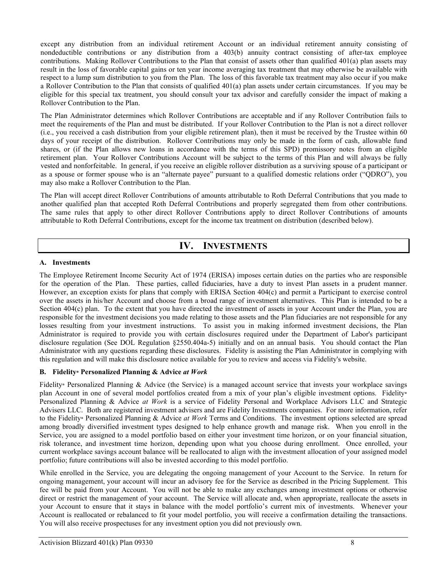except any distribution from an individual retirement Account or an individual retirement annuity consisting of nondeductible contributions or any distribution from a 403(b) annuity contract consisting of after-tax employee contributions. Making Rollover Contributions to the Plan that consist of assets other than qualified 401(a) plan assets may result in the loss of favorable capital gains or ten year income averaging tax treatment that may otherwise be available with respect to a lump sum distribution to you from the Plan. The loss of this favorable tax treatment may also occur if you make a Rollover Contribution to the Plan that consists of qualified 401(a) plan assets under certain circumstances. If you may be eligible for this special tax treatment, you should consult your tax advisor and carefully consider the impact of making a Rollover Contribution to the Plan.

The Plan Administrator determines which Rollover Contributions are acceptable and if any Rollover Contribution fails to meet the requirements of the Plan and must be distributed. If your Rollover Contribution to the Plan is not a direct rollover (i.e., you received a cash distribution from your eligible retirement plan), then it must be received by the Trustee within 60 days of your receipt of the distribution. Rollover Contributions may only be made in the form of cash, allowable fund shares, or (if the Plan allows new loans in accordance with the terms of this SPD) promissory notes from an eligible retirement plan. Your Rollover Contributions Account will be subject to the terms of this Plan and will always be fully vested and nonforfeitable. In general, if you receive an eligible rollover distribution as a surviving spouse of a participant or as a spouse or former spouse who is an "alternate payee" pursuant to a qualified domestic relations order ("QDRO"), you may also make a Rollover Contribution to the Plan.

The Plan will accept direct Rollover Contributions of amounts attributable to Roth Deferral Contributions that you made to another qualified plan that accepted Roth Deferral Contributions and properly segregated them from other contributions. The same rules that apply to other direct Rollover Contributions apply to direct Rollover Contributions of amounts attributable to Roth Deferral Contributions, except for the income tax treatment on distribution (described below).

# **IV. INVESTMENTS**

# <span id="page-9-0"></span>**A. Investments**

The Employee Retirement Income Security Act of 1974 (ERISA) imposes certain duties on the parties who are responsible for the operation of the Plan. These parties, called fiduciaries, have a duty to invest Plan assets in a prudent manner. However, an exception exists for plans that comply with ERISA Section 404(c) and permit a Participant to exercise control over the assets in his/her Account and choose from a broad range of investment alternatives. This Plan is intended to be a Section 404(c) plan. To the extent that you have directed the investment of assets in your Account under the Plan, you are responsible for the investment decisions you made relating to those assets and the Plan fiduciaries are not responsible for any losses resulting from your investment instructions. To assist you in making informed investment decisions, the Plan Administrator is required to provide you with certain disclosures required under the Department of Labor's participant disclosure regulation (See DOL Regulation §2550.404a-5) initially and on an annual basis. You should contact the Plan Administrator with any questions regarding these disclosures. Fidelity is assisting the Plan Administrator in complying with this regulation and will make this disclosure notice available for you to review and access via Fidelity's website.

# **B. Fidelity® Personalized Planning & Advice** *at Work*

Fidelity® Personalized Planning & Advice (the Service) is a managed account service that invests your workplace savings plan Account in one of several model portfolios created from a mix of your plan's eligible investment options. Fidelity® Personalized Planning & Advice *at Work* is a service of Fidelity Personal and Workplace Advisors LLC and Strategic Advisers LLC. Both are registered investment advisers and are Fidelity Investments companies. For more information, refer to the Fidelity® Personalized Planning & Advice *at Work* Terms and Conditions. The investment options selected are spread among broadly diversified investment types designed to help enhance growth and manage risk. When you enroll in the Service, you are assigned to a model portfolio based on either your investment time horizon, or on your financial situation, risk tolerance, and investment time horizon, depending upon what you choose during enrollment. Once enrolled, your current workplace savings account balance will be reallocated to align with the investment allocation of your assigned model portfolio; future contributions will also be invested according to this model portfolio.

While enrolled in the Service, you are delegating the ongoing management of your Account to the Service. In return for ongoing management, your account will incur an advisory fee for the Service as described in the Pricing Supplement. This fee will be paid from your Account. You will not be able to make any exchanges among investment options or otherwise direct or restrict the management of your account. The Service will allocate and, when appropriate, reallocate the assets in your Account to ensure that it stays in balance with the model portfolio's current mix of investments. Whenever your Account is reallocated or rebalanced to fit your model portfolio, you will receive a confirmation detailing the transactions. You will also receive prospectuses for any investment option you did not previously own.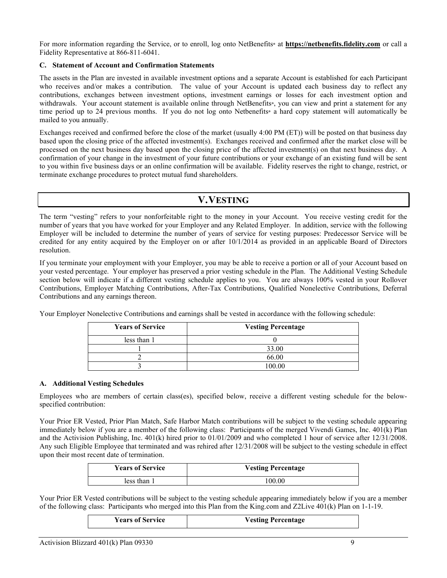For more information regarding the Service, or to enroll, log onto NetBenefits<sup>®</sup> at **[https://netbenefits.fidelity.com](https://netbenefits.fidelity.com/)** or call a Fidelity Representative at 866-811-6041.

#### **C. Statement of Account and Confirmation Statements**

The assets in the Plan are invested in available investment options and a separate Account is established for each Participant who receives and/or makes a contribution. The value of your Account is updated each business day to reflect any contributions, exchanges between investment options, investment earnings or losses for each investment option and withdrawals. Your account statement is available online through NetBenefits®, you can view and print a statement for any time period up to 24 previous months. If you do not log onto Netbenefits<sup>®</sup> a hard copy statement will automatically be mailed to you annually.

Exchanges received and confirmed before the close of the market (usually 4:00 PM (ET)) will be posted on that business day based upon the closing price of the affected investment(s). Exchanges received and confirmed after the market close will be processed on the next business day based upon the closing price of the affected investment(s) on that next business day. A confirmation of your change in the investment of your future contributions or your exchange of an existing fund will be sent to you within five business days or an online confirmation will be available. Fidelity reserves the right to change, restrict, or terminate exchange procedures to protect mutual fund shareholders.

# **V.VESTING**

<span id="page-10-0"></span>The term "vesting" refers to your nonforfeitable right to the money in your Account. You receive vesting credit for the number of years that you have worked for your Employer and any Related Employer. In addition, service with the following Employer will be included to determine the number of years of service for vesting purposes: Predecessor Service will be credited for any entity acquired by the Employer on or after 10/1/2014 as provided in an applicable Board of Directors resolution.

If you terminate your employment with your Employer, you may be able to receive a portion or all of your Account based on your vested percentage. Your employer has preserved a prior vesting schedule in the Plan. The Additional Vesting Schedule section below will indicate if a different vesting schedule applies to you. You are always 100% vested in your Rollover Contributions, Employer Matching Contributions, After-Tax Contributions, Qualified Nonelective Contributions, Deferral Contributions and any earnings thereon.

| Your Employer Nonelective Contributions and earnings shall be vested in accordance with the following schedule: |  |
|-----------------------------------------------------------------------------------------------------------------|--|
|                                                                                                                 |  |

| <b>Years of Service</b> | <b>Vesting Percentage</b> |
|-------------------------|---------------------------|
| less than 1             |                           |
|                         | 33.00                     |
|                         | 66.00                     |
|                         | 100.00                    |

#### **A. Additional Vesting Schedules**

Employees who are members of certain class(es), specified below, receive a different vesting schedule for the belowspecified contribution:

Your Prior ER Vested, Prior Plan Match, Safe Harbor Match contributions will be subject to the vesting schedule appearing immediately below if you are a member of the following class: Participants of the merged Vivendi Games, Inc. 401(k) Plan and the Activision Publishing, Inc. 401(k) hired prior to 01/01/2009 and who completed 1 hour of service after 12/31/2008. Any such Eligible Employee that terminated and was rehired after 12/31/2008 will be subject to the vesting schedule in effect upon their most recent date of termination.

| <b>Years of Service</b> | <b>Vesting Percentage</b> |
|-------------------------|---------------------------|
| less than 1             | 100.00                    |

Your Prior ER Vested contributions will be subject to the vesting schedule appearing immediately below if you are a member of the following class: Participants who merged into this Plan from the King.com and Z2Live 401(k) Plan on 1-1-19.

| <b>Years of Service</b> | <b>Vesting Percentage</b> |
|-------------------------|---------------------------|
|                         |                           |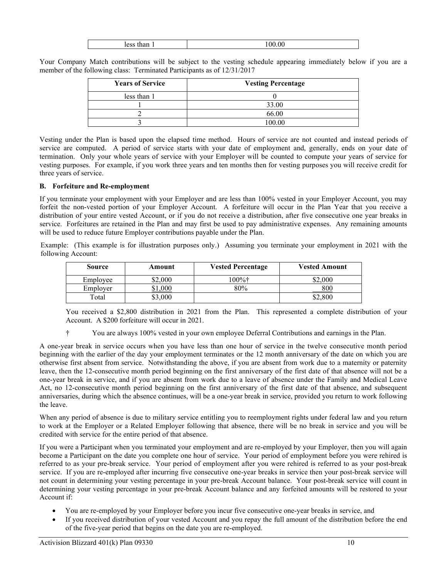| ⊥ັ |  |
|----|--|
|    |  |

Your Company Match contributions will be subject to the vesting schedule appearing immediately below if you are a member of the following class: Terminated Participants as of 12/31/2017

| <b>Years of Service</b> | <b>Vesting Percentage</b> |
|-------------------------|---------------------------|
| less than 1             |                           |
|                         | 33.00                     |
|                         | 66.00                     |
|                         | 100.00                    |

Vesting under the Plan is based upon the elapsed time method. Hours of service are not counted and instead periods of service are computed. A period of service starts with your date of employment and, generally, ends on your date of termination. Only your whole years of service with your Employer will be counted to compute your years of service for vesting purposes. For example, if you work three years and ten months then for vesting purposes you will receive credit for three years of service.

# **B. Forfeiture and Re-employment**

If you terminate your employment with your Employer and are less than 100% vested in your Employer Account, you may forfeit the non-vested portion of your Employer Account. A forfeiture will occur in the Plan Year that you receive a distribution of your entire vested Account, or if you do not receive a distribution, after five consecutive one year breaks in service. Forfeitures are retained in the Plan and may first be used to pay administrative expenses. Any remaining amounts will be used to reduce future Employer contributions payable under the Plan.

Example: (This example is for illustration purposes only.) Assuming you terminate your employment in 2021 with the following Account:

| Source   | Amount  | <b>Vested Percentage</b> | <b>Vested Amount</b> |
|----------|---------|--------------------------|----------------------|
| Employee | \$2.000 | l00%†                    | \$2.000              |
| Employer | .000    | 80%                      | 800                  |
| Total    | \$3,000 |                          | \$2,800              |

You received a \$2,800 distribution in 2021 from the Plan. This represented a complete distribution of your Account. A \$200 forfeiture will occur in 2021.

† You are always 100% vested in your own employee Deferral Contributions and earnings in the Plan.

A one-year break in service occurs when you have less than one hour of service in the twelve consecutive month period beginning with the earlier of the day your employment terminates or the 12 month anniversary of the date on which you are otherwise first absent from service. Notwithstanding the above, if you are absent from work due to a maternity or paternity leave, then the 12-consecutive month period beginning on the first anniversary of the first date of that absence will not be a one-year break in service, and if you are absent from work due to a leave of absence under the Family and Medical Leave Act, no 12-consecutive month period beginning on the first anniversary of the first date of that absence, and subsequent anniversaries, during which the absence continues, will be a one-year break in service, provided you return to work following the leave.

When any period of absence is due to military service entitling you to reemployment rights under federal law and you return to work at the Employer or a Related Employer following that absence, there will be no break in service and you will be credited with service for the entire period of that absence.

If you were a Participant when you terminated your employment and are re-employed by your Employer, then you will again become a Participant on the date you complete one hour of service. Your period of employment before you were rehired is referred to as your pre-break service. Your period of employment after you were rehired is referred to as your post-break service. If you are re-employed after incurring five consecutive one-year breaks in service then your post-break service will not count in determining your vesting percentage in your pre-break Account balance. Your post-break service will count in determining your vesting percentage in your pre-break Account balance and any forfeited amounts will be restored to your Account if:

- You are re-employed by your Employer before you incur five consecutive one-year breaks in service, and
- If you received distribution of your vested Account and you repay the full amount of the distribution before the end of the five-year period that begins on the date you are re-employed.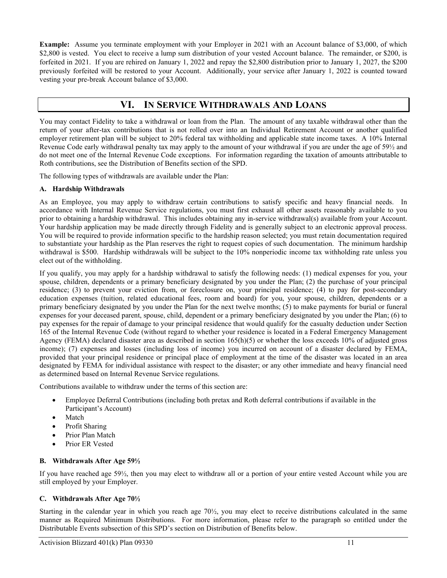**Example:** Assume you terminate employment with your Employer in 2021 with an Account balance of \$3,000, of which \$2,800 is vested. You elect to receive a lump sum distribution of your vested Account balance. The remainder, or \$200, is forfeited in 2021. If you are rehired on January 1, 2022 and repay the \$2,800 distribution prior to January 1, 2027, the \$200 previously forfeited will be restored to your Account. Additionally, your service after January 1, 2022 is counted toward vesting your pre-break Account balance of \$3,000.

# **VI. IN SERVICE WITHDRAWALS AND LOANS**

<span id="page-12-0"></span>You may contact Fidelity to take a withdrawal or loan from the Plan. The amount of any taxable withdrawal other than the return of your after-tax contributions that is not rolled over into an Individual Retirement Account or another qualified employer retirement plan will be subject to 20% federal tax withholding and applicable state income taxes. A 10% Internal Revenue Code early withdrawal penalty tax may apply to the amount of your withdrawal if you are under the age of 59½ and do not meet one of the Internal Revenue Code exceptions. For information regarding the taxation of amounts attributable to Roth contributions, see the Distribution of Benefits section of the SPD.

The following types of withdrawals are available under the Plan:

# **A. Hardship Withdrawals**

As an Employee, you may apply to withdraw certain contributions to satisfy specific and heavy financial needs. In accordance with Internal Revenue Service regulations, you must first exhaust all other assets reasonably available to you prior to obtaining a hardship withdrawal. This includes obtaining any in-service withdrawal(s) available from your Account. Your hardship application may be made directly through Fidelity and is generally subject to an electronic approval process. You will be required to provide information specific to the hardship reason selected; you must retain documentation required to substantiate your hardship as the Plan reserves the right to request copies of such documentation. The minimum hardship withdrawal is \$500. Hardship withdrawals will be subject to the 10% nonperiodic income tax withholding rate unless you elect out of the withholding.

If you qualify, you may apply for a hardship withdrawal to satisfy the following needs: (1) medical expenses for you, your spouse, children, dependents or a primary beneficiary designated by you under the Plan; (2) the purchase of your principal residence; (3) to prevent your eviction from, or foreclosure on, your principal residence; (4) to pay for post-secondary education expenses (tuition, related educational fees, room and board) for you, your spouse, children, dependents or a primary beneficiary designated by you under the Plan for the next twelve months; (5) to make payments for burial or funeral expenses for your deceased parent, spouse, child, dependent or a primary beneficiary designated by you under the Plan; (6) to pay expenses for the repair of damage to your principal residence that would qualify for the casualty deduction under Section 165 of the Internal Revenue Code (without regard to whether your residence is located in a Federal Emergency Management Agency (FEMA) declared disaster area as described in section 165(h)(5) or whether the loss exceeds 10% of adjusted gross income); (7) expenses and losses (including loss of income) you incurred on account of a disaster declared by FEMA, provided that your principal residence or principal place of employment at the time of the disaster was located in an area designated by FEMA for individual assistance with respect to the disaster; or any other immediate and heavy financial need as determined based on Internal Revenue Service regulations.

Contributions available to withdraw under the terms of this section are:

- Employee Deferral Contributions (including both pretax and Roth deferral contributions if available in the Participant's Account)
- **Match**
- Profit Sharing
- Prior Plan Match
- Prior ER Vested

# **B. Withdrawals After Age 59½**

If you have reached age 59½, then you may elect to withdraw all or a portion of your entire vested Account while you are still employed by your Employer.

# **C. Withdrawals After Age 70½**

Starting in the calendar year in which you reach age 70½, you may elect to receive distributions calculated in the same manner as Required Minimum Distributions. For more information, please refer to the paragraph so entitled under the Distributable Events subsection of this SPD's section on Distribution of Benefits below.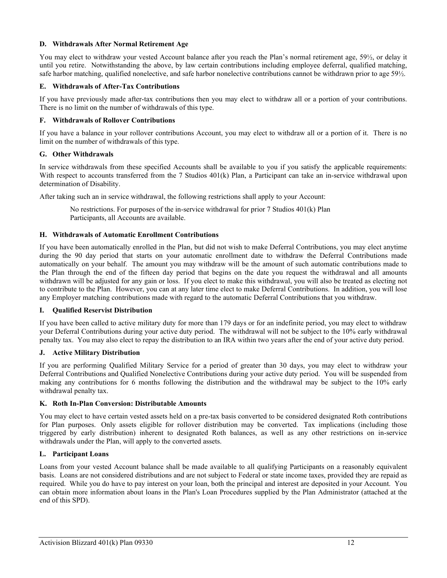# **D. Withdrawals After Normal Retirement Age**

You may elect to withdraw your vested Account balance after you reach the Plan's normal retirement age, 59½, or delay it until you retire. Notwithstanding the above, by law certain contributions including employee deferral, qualified matching, safe harbor matching, qualified nonelective, and safe harbor nonelective contributions cannot be withdrawn prior to age 59½.

### **E. Withdrawals of After-Tax Contributions**

If you have previously made after-tax contributions then you may elect to withdraw all or a portion of your contributions. There is no limit on the number of withdrawals of this type.

### **F. Withdrawals of Rollover Contributions**

If you have a balance in your rollover contributions Account, you may elect to withdraw all or a portion of it. There is no limit on the number of withdrawals of this type.

#### **G. Other Withdrawals**

In service withdrawals from these specified Accounts shall be available to you if you satisfy the applicable requirements: With respect to accounts transferred from the 7 Studios 401(k) Plan, a Participant can take an in-service withdrawal upon determination of Disability.

After taking such an in service withdrawal, the following restrictions shall apply to your Account:

No restrictions. For purposes of the in-service withdrawal for prior 7 Studios 401(k) Plan Participants, all Accounts are available.

# **H. Withdrawals of Automatic Enrollment Contributions**

If you have been automatically enrolled in the Plan, but did not wish to make Deferral Contributions, you may elect anytime during the 90 day period that starts on your automatic enrollment date to withdraw the Deferral Contributions made automatically on your behalf. The amount you may withdraw will be the amount of such automatic contributions made to the Plan through the end of the fifteen day period that begins on the date you request the withdrawal and all amounts withdrawn will be adjusted for any gain or loss. If you elect to make this withdrawal, you will also be treated as electing not to contribute to the Plan. However, you can at any later time elect to make Deferral Contributions. In addition, you will lose any Employer matching contributions made with regard to the automatic Deferral Contributions that you withdraw.

#### **I. Qualified Reservist Distribution**

If you have been called to active military duty for more than 179 days or for an indefinite period, you may elect to withdraw your Deferral Contributions during your active duty period. The withdrawal will not be subject to the 10% early withdrawal penalty tax. You may also elect to repay the distribution to an IRA within two years after the end of your active duty period.

#### **J. Active Military Distribution**

If you are performing Qualified Military Service for a period of greater than 30 days, you may elect to withdraw your Deferral Contributions and Qualified Nonelective Contributions during your active duty period. You will be suspended from making any contributions for 6 months following the distribution and the withdrawal may be subject to the 10% early withdrawal penalty tax.

#### **K. Roth In-Plan Conversion: Distributable Amounts**

You may elect to have certain vested assets held on a pre-tax basis converted to be considered designated Roth contributions for Plan purposes. Only assets eligible for rollover distribution may be converted. Tax implications (including those triggered by early distribution) inherent to designated Roth balances, as well as any other restrictions on in-service withdrawals under the Plan, will apply to the converted assets.

#### **L. Participant Loans**

Loans from your vested Account balance shall be made available to all qualifying Participants on a reasonably equivalent basis. Loans are not considered distributions and are not subject to Federal or state income taxes, provided they are repaid as required. While you do have to pay interest on your loan, both the principal and interest are deposited in your Account. You can obtain more information about loans in the Plan's Loan Procedures supplied by the Plan Administrator (attached at the end of this SPD).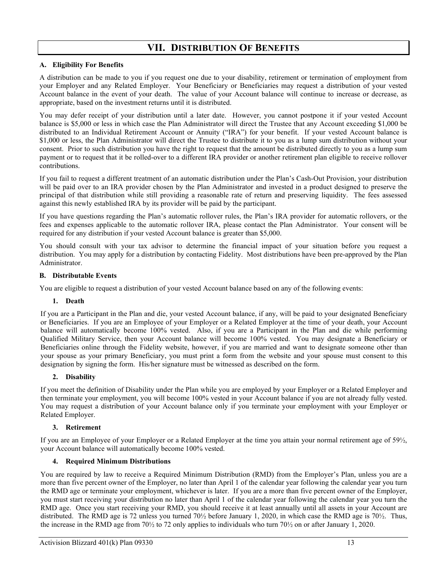# **VII. DISTRIBUTION OF BENEFITS**

# <span id="page-14-0"></span>**A. Eligibility For Benefits**

A distribution can be made to you if you request one due to your disability, retirement or termination of employment from your Employer and any Related Employer. Your Beneficiary or Beneficiaries may request a distribution of your vested Account balance in the event of your death. The value of your Account balance will continue to increase or decrease, as appropriate, based on the investment returns until it is distributed.

You may defer receipt of your distribution until a later date. However, you cannot postpone it if your vested Account balance is \$5,000 or less in which case the Plan Administrator will direct the Trustee that any Account exceeding \$1,000 be distributed to an Individual Retirement Account or Annuity ("IRA") for your benefit. If your vested Account balance is \$1,000 or less, the Plan Administrator will direct the Trustee to distribute it to you as a lump sum distribution without your consent. Prior to such distribution you have the right to request that the amount be distributed directly to you as a lump sum payment or to request that it be rolled-over to a different IRA provider or another retirement plan eligible to receive rollover contributions.

If you fail to request a different treatment of an automatic distribution under the Plan's Cash-Out Provision, your distribution will be paid over to an IRA provider chosen by the Plan Administrator and invested in a product designed to preserve the principal of that distribution while still providing a reasonable rate of return and preserving liquidity. The fees assessed against this newly established IRA by its provider will be paid by the participant.

If you have questions regarding the Plan's automatic rollover rules, the Plan's IRA provider for automatic rollovers, or the fees and expenses applicable to the automatic rollover IRA, please contact the Plan Administrator. Your consent will be required for any distribution if your vested Account balance is greater than \$5,000.

You should consult with your tax advisor to determine the financial impact of your situation before you request a distribution. You may apply for a distribution by contacting Fidelity. Most distributions have been pre-approved by the Plan Administrator.

# **B. Distributable Events**

You are eligible to request a distribution of your vested Account balance based on any of the following events:

#### **1. Death**

If you are a Participant in the Plan and die, your vested Account balance, if any, will be paid to your designated Beneficiary or Beneficiaries. If you are an Employee of your Employer or a Related Employer at the time of your death, your Account balance will automatically become 100% vested. Also, if you are a Participant in the Plan and die while performing Qualified Military Service, then your Account balance will become 100% vested. You may designate a Beneficiary or Beneficiaries online through the Fidelity website, however, if you are married and want to designate someone other than your spouse as your primary Beneficiary, you must print a form from the website and your spouse must consent to this designation by signing the form. His/her signature must be witnessed as described on the form.

# **2. Disability**

If you meet the definition of Disability under the Plan while you are employed by your Employer or a Related Employer and then terminate your employment, you will become 100% vested in your Account balance if you are not already fully vested. You may request a distribution of your Account balance only if you terminate your employment with your Employer or Related Employer.

# **3. Retirement**

If you are an Employee of your Employer or a Related Employer at the time you attain your normal retirement age of 59½, your Account balance will automatically become 100% vested.

# **4. Required Minimum Distributions**

You are required by law to receive a Required Minimum Distribution (RMD) from the Employer's Plan, unless you are a more than five percent owner of the Employer, no later than April 1 of the calendar year following the calendar year you turn the RMD age or terminate your employment, whichever is later. If you are a more than five percent owner of the Employer, you must start receiving your distribution no later than April 1 of the calendar year following the calendar year you turn the RMD age. Once you start receiving your RMD, you should receive it at least annually until all assets in your Account are distributed. The RMD age is 72 unless you turned 70½ before January 1, 2020, in which case the RMD age is 70½. Thus, the increase in the RMD age from 70½ to 72 only applies to individuals who turn 70½ on or after January 1, 2020.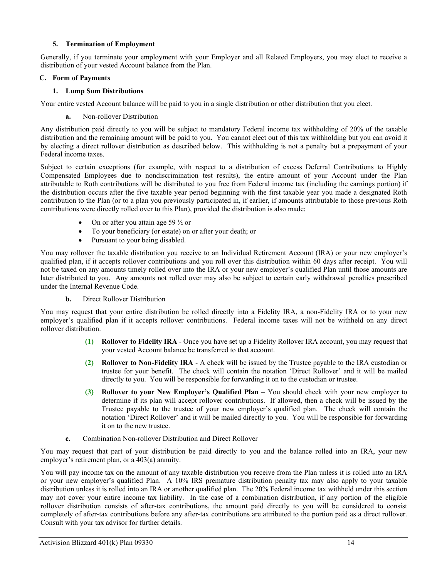# **5. Termination of Employment**

Generally, if you terminate your employment with your Employer and all Related Employers, you may elect to receive a distribution of your vested Account balance from the Plan.

### **C. Form of Payments**

# **1. Lump Sum Distributions**

Your entire vested Account balance will be paid to you in a single distribution or other distribution that you elect.

**a.** Non-rollover Distribution

Any distribution paid directly to you will be subject to mandatory Federal income tax withholding of 20% of the taxable distribution and the remaining amount will be paid to you. You cannot elect out of this tax withholding but you can avoid it by electing a direct rollover distribution as described below. This withholding is not a penalty but a prepayment of your Federal income taxes.

Subject to certain exceptions (for example, with respect to a distribution of excess Deferral Contributions to Highly Compensated Employees due to nondiscrimination test results), the entire amount of your Account under the Plan attributable to Roth contributions will be distributed to you free from Federal income tax (including the earnings portion) if the distribution occurs after the five taxable year period beginning with the first taxable year you made a designated Roth contribution to the Plan (or to a plan you previously participated in, if earlier, if amounts attributable to those previous Roth contributions were directly rolled over to this Plan), provided the distribution is also made:

- On or after you attain age 59  $\frac{1}{2}$  or
- To your beneficiary (or estate) on or after your death; or
- Pursuant to your being disabled.

You may rollover the taxable distribution you receive to an Individual Retirement Account (IRA) or your new employer's qualified plan, if it accepts rollover contributions and you roll over this distribution within 60 days after receipt. You will not be taxed on any amounts timely rolled over into the IRA or your new employer's qualified Plan until those amounts are later distributed to you. Any amounts not rolled over may also be subject to certain early withdrawal penalties prescribed under the Internal Revenue Code.

**b.** Direct Rollover Distribution

You may request that your entire distribution be rolled directly into a Fidelity IRA, a non-Fidelity IRA or to your new employer's qualified plan if it accepts rollover contributions. Federal income taxes will not be withheld on any direct rollover distribution.

- **(1) Rollover to Fidelity IRA** Once you have set up a Fidelity Rollover IRA account, you may request that your vested Account balance be transferred to that account.
- **(2) Rollover to Non-Fidelity IRA** A check will be issued by the Trustee payable to the IRA custodian or trustee for your benefit. The check will contain the notation 'Direct Rollover' and it will be mailed directly to you. You will be responsible for forwarding it on to the custodian or trustee.
- **(3) Rollover to your New Employer's Qualified Plan** You should check with your new employer to determine if its plan will accept rollover contributions. If allowed, then a check will be issued by the Trustee payable to the trustee of your new employer's qualified plan. The check will contain the notation 'Direct Rollover' and it will be mailed directly to you. You will be responsible for forwarding it on to the new trustee.
- **c.** Combination Non-rollover Distribution and Direct Rollover

You may request that part of your distribution be paid directly to you and the balance rolled into an IRA, your new employer's retirement plan, or a 403(a) annuity.

You will pay income tax on the amount of any taxable distribution you receive from the Plan unless it is rolled into an IRA or your new employer's qualified Plan. A 10% IRS premature distribution penalty tax may also apply to your taxable distribution unless it is rolled into an IRA or another qualified plan. The 20% Federal income tax withheld under this section may not cover your entire income tax liability. In the case of a combination distribution, if any portion of the eligible rollover distribution consists of after-tax contributions, the amount paid directly to you will be considered to consist completely of after-tax contributions before any after-tax contributions are attributed to the portion paid as a direct rollover. Consult with your tax advisor for further details.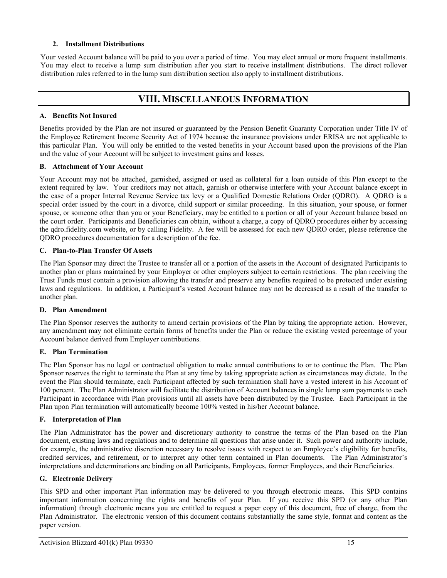# **2. Installment Distributions**

<span id="page-16-0"></span>Your vested Account balance will be paid to you over a period of time. You may elect annual or more frequent installments. You may elect to receive a lump sum distribution after you start to receive installment distributions. The direct rollover distribution rules referred to in the lump sum distribution section also apply to installment distributions.

# **VIII. MISCELLANEOUS INFORMATION**

# **A. Benefits Not Insured**

Benefits provided by the Plan are not insured or guaranteed by the Pension Benefit Guaranty Corporation under Title IV of the Employee Retirement Income Security Act of 1974 because the insurance provisions under ERISA are not applicable to this particular Plan. You will only be entitled to the vested benefits in your Account based upon the provisions of the Plan and the value of your Account will be subject to investment gains and losses.

# **B. Attachment of Your Account**

Your Account may not be attached, garnished, assigned or used as collateral for a loan outside of this Plan except to the extent required by law. Your creditors may not attach, garnish or otherwise interfere with your Account balance except in the case of a proper Internal Revenue Service tax levy or a Qualified Domestic Relations Order (QDRO). A QDRO is a special order issued by the court in a divorce, child support or similar proceeding. In this situation, your spouse, or former spouse, or someone other than you or your Beneficiary, may be entitled to a portion or all of your Account balance based on the court order. Participants and Beneficiaries can obtain, without a charge, a copy of QDRO procedures either by accessing the qdro.fidelity.com website, or by calling Fidelity. A fee will be assessed for each new QDRO order, please reference the QDRO procedures documentation for a description of the fee.

# **C. Plan-to-Plan Transfer Of Assets**

The Plan Sponsor may direct the Trustee to transfer all or a portion of the assets in the Account of designated Participants to another plan or plans maintained by your Employer or other employers subject to certain restrictions. The plan receiving the Trust Funds must contain a provision allowing the transfer and preserve any benefits required to be protected under existing laws and regulations. In addition, a Participant's vested Account balance may not be decreased as a result of the transfer to another plan.

#### **D. Plan Amendment**

The Plan Sponsor reserves the authority to amend certain provisions of the Plan by taking the appropriate action. However, any amendment may not eliminate certain forms of benefits under the Plan or reduce the existing vested percentage of your Account balance derived from Employer contributions.

# **E. Plan Termination**

The Plan Sponsor has no legal or contractual obligation to make annual contributions to or to continue the Plan. The Plan Sponsor reserves the right to terminate the Plan at any time by taking appropriate action as circumstances may dictate. In the event the Plan should terminate, each Participant affected by such termination shall have a vested interest in his Account of 100 percent. The Plan Administrator will facilitate the distribution of Account balances in single lump sum payments to each Participant in accordance with Plan provisions until all assets have been distributed by the Trustee. Each Participant in the Plan upon Plan termination will automatically become 100% vested in his/her Account balance.

#### **F. Interpretation of Plan**

The Plan Administrator has the power and discretionary authority to construe the terms of the Plan based on the Plan document, existing laws and regulations and to determine all questions that arise under it. Such power and authority include, for example, the administrative discretion necessary to resolve issues with respect to an Employee's eligibility for benefits, credited services, and retirement, or to interpret any other term contained in Plan documents. The Plan Administrator's interpretations and determinations are binding on all Participants, Employees, former Employees, and their Beneficiaries.

# **G. Electronic Delivery**

This SPD and other important Plan information may be delivered to you through electronic means. This SPD contains important information concerning the rights and benefits of your Plan. If you receive this SPD (or any other Plan information) through electronic means you are entitled to request a paper copy of this document, free of charge, from the Plan Administrator. The electronic version of this document contains substantially the same style, format and content as the paper version.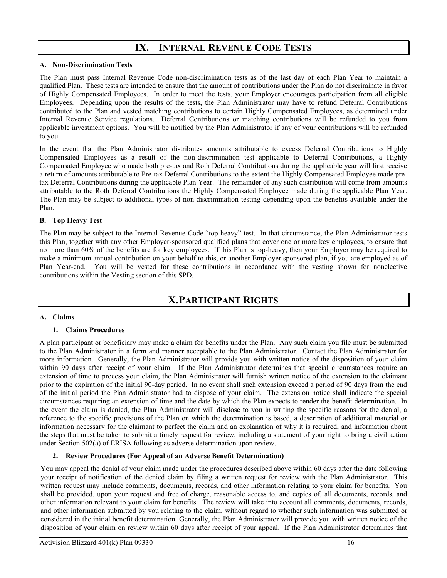# **IX. INTERNAL REVENUE CODE TESTS**

#### <span id="page-17-0"></span>**A. Non-Discrimination Tests**

The Plan must pass Internal Revenue Code non-discrimination tests as of the last day of each Plan Year to maintain a qualified Plan. These tests are intended to ensure that the amount of contributions under the Plan do not discriminate in favor of Highly Compensated Employees. In order to meet the tests, your Employer encourages participation from all eligible Employees. Depending upon the results of the tests, the Plan Administrator may have to refund Deferral Contributions contributed to the Plan and vested matching contributions to certain Highly Compensated Employees, as determined under Internal Revenue Service regulations. Deferral Contributions or matching contributions will be refunded to you from applicable investment options. You will be notified by the Plan Administrator if any of your contributions will be refunded to you.

In the event that the Plan Administrator distributes amounts attributable to excess Deferral Contributions to Highly Compensated Employees as a result of the non-discrimination test applicable to Deferral Contributions, a Highly Compensated Employee who made both pre-tax and Roth Deferral Contributions during the applicable year will first receive a return of amounts attributable to Pre-tax Deferral Contributions to the extent the Highly Compensated Employee made pretax Deferral Contributions during the applicable Plan Year. The remainder of any such distribution will come from amounts attributable to the Roth Deferral Contributions the Highly Compensated Employee made during the applicable Plan Year. The Plan may be subject to additional types of non-discrimination testing depending upon the benefits available under the Plan.

#### **B. Top Heavy Test**

The Plan may be subject to the Internal Revenue Code "top-heavy" test. In that circumstance, the Plan Administrator tests this Plan, together with any other Employer-sponsored qualified plans that cover one or more key employees, to ensure that no more than 60% of the benefits are for key employees. If this Plan is top-heavy, then your Employer may be required to make a minimum annual contribution on your behalf to this, or another Employer sponsored plan, if you are employed as of Plan Year-end. You will be vested for these contributions in accordance with the vesting shown for nonelective contributions within the Vesting section of this SPD.

# **X.PARTICIPANT RIGHTS**

#### <span id="page-17-1"></span>**A. Claims**

#### **1. Claims Procedures**

A plan participant or beneficiary may make a claim for benefits under the Plan. Any such claim you file must be submitted to the Plan Administrator in a form and manner acceptable to the Plan Administrator. Contact the Plan Administrator for more information. Generally, the Plan Administrator will provide you with written notice of the disposition of your claim within 90 days after receipt of your claim. If the Plan Administrator determines that special circumstances require an extension of time to process your claim, the Plan Administrator will furnish written notice of the extension to the claimant prior to the expiration of the initial 90-day period. In no event shall such extension exceed a period of 90 days from the end of the initial period the Plan Administrator had to dispose of your claim. The extension notice shall indicate the special circumstances requiring an extension of time and the date by which the Plan expects to render the benefit determination. In the event the claim is denied, the Plan Administrator will disclose to you in writing the specific reasons for the denial, a reference to the specific provisions of the Plan on which the determination is based, a description of additional material or information necessary for the claimant to perfect the claim and an explanation of why it is required, and information about the steps that must be taken to submit a timely request for review, including a statement of your right to bring a civil action under Section 502(a) of ERISA following as adverse determination upon review.

#### **2. Review Procedures (For Appeal of an Adverse Benefit Determination)**

You may appeal the denial of your claim made under the procedures described above within 60 days after the date following your receipt of notification of the denied claim by filing a written request for review with the Plan Administrator. This written request may include comments, documents, records, and other information relating to your claim for benefits. You shall be provided, upon your request and free of charge, reasonable access to, and copies of, all documents, records, and other information relevant to your claim for benefits. The review will take into account all comments, documents, records, and other information submitted by you relating to the claim, without regard to whether such information was submitted or considered in the initial benefit determination. Generally, the Plan Administrator will provide you with written notice of the disposition of your claim on review within 60 days after receipt of your appeal. If the Plan Administrator determines that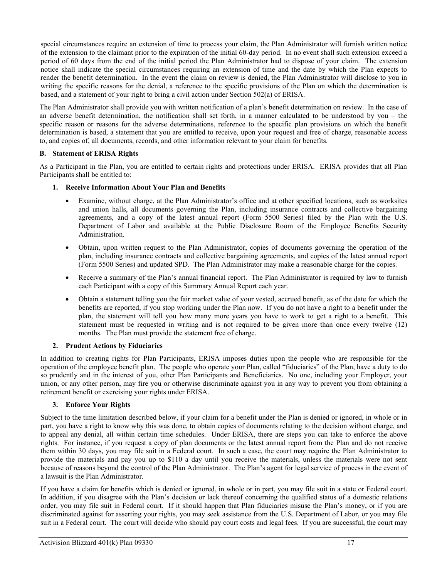special circumstances require an extension of time to process your claim, the Plan Administrator will furnish written notice of the extension to the claimant prior to the expiration of the initial 60-day period. In no event shall such extension exceed a period of 60 days from the end of the initial period the Plan Administrator had to dispose of your claim. The extension notice shall indicate the special circumstances requiring an extension of time and the date by which the Plan expects to render the benefit determination. In the event the claim on review is denied, the Plan Administrator will disclose to you in writing the specific reasons for the denial, a reference to the specific provisions of the Plan on which the determination is based, and a statement of your right to bring a civil action under Section 502(a) of ERISA.

The Plan Administrator shall provide you with written notification of a plan's benefit determination on review. In the case of an adverse benefit determination, the notification shall set forth, in a manner calculated to be understood by you – the specific reason or reasons for the adverse determinations, reference to the specific plan provisions on which the benefit determination is based, a statement that you are entitled to receive, upon your request and free of charge, reasonable access to, and copies of, all documents, records, and other information relevant to your claim for benefits.

# **B. Statement of ERISA Rights**

As a Participant in the Plan, you are entitled to certain rights and protections under ERISA. ERISA provides that all Plan Participants shall be entitled to:

# **1. Receive Information About Your Plan and Benefits**

- Examine, without charge, at the Plan Administrator's office and at other specified locations, such as worksites and union halls, all documents governing the Plan, including insurance contracts and collective bargaining agreements, and a copy of the latest annual report (Form 5500 Series) filed by the Plan with the U.S. Department of Labor and available at the Public Disclosure Room of the Employee Benefits Security Administration.
- Obtain, upon written request to the Plan Administrator, copies of documents governing the operation of the plan, including insurance contracts and collective bargaining agreements, and copies of the latest annual report (Form 5500 Series) and updated SPD. The Plan Administrator may make a reasonable charge for the copies.
- Receive a summary of the Plan's annual financial report. The Plan Administrator is required by law to furnish each Participant with a copy of this Summary Annual Report each year.
- Obtain a statement telling you the fair market value of your vested, accrued benefit, as of the date for which the benefits are reported, if you stop working under the Plan now. If you do not have a right to a benefit under the plan, the statement will tell you how many more years you have to work to get a right to a benefit. This statement must be requested in writing and is not required to be given more than once every twelve (12) months. The Plan must provide the statement free of charge.

#### **2. Prudent Actions by Fiduciaries**

In addition to creating rights for Plan Participants, ERISA imposes duties upon the people who are responsible for the operation of the employee benefit plan. The people who operate your Plan, called "fiduciaries" of the Plan, have a duty to do so prudently and in the interest of you, other Plan Participants and Beneficiaries. No one, including your Employer, your union, or any other person, may fire you or otherwise discriminate against you in any way to prevent you from obtaining a retirement benefit or exercising your rights under ERISA.

#### **3. Enforce Your Rights**

Subject to the time limitation described below, if your claim for a benefit under the Plan is denied or ignored, in whole or in part, you have a right to know why this was done, to obtain copies of documents relating to the decision without charge, and to appeal any denial, all within certain time schedules. Under ERISA, there are steps you can take to enforce the above rights. For instance, if you request a copy of plan documents or the latest annual report from the Plan and do not receive them within 30 days, you may file suit in a Federal court. In such a case, the court may require the Plan Administrator to provide the materials and pay you up to \$110 a day until you receive the materials, unless the materials were not sent because of reasons beyond the control of the Plan Administrator. The Plan's agent for legal service of process in the event of a lawsuit is the Plan Administrator.

If you have a claim for benefits which is denied or ignored, in whole or in part, you may file suit in a state or Federal court. In addition, if you disagree with the Plan's decision or lack thereof concerning the qualified status of a domestic relations order, you may file suit in Federal court. If it should happen that Plan fiduciaries misuse the Plan's money, or if you are discriminated against for asserting your rights, you may seek assistance from the U.S. Department of Labor, or you may file suit in a Federal court. The court will decide who should pay court costs and legal fees. If you are successful, the court may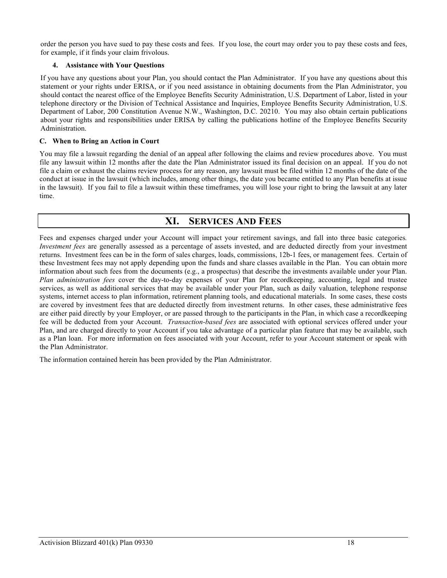order the person you have sued to pay these costs and fees. If you lose, the court may order you to pay these costs and fees, for example, if it finds your claim frivolous.

# **4. Assistance with Your Questions**

If you have any questions about your Plan, you should contact the Plan Administrator. If you have any questions about this statement or your rights under ERISA, or if you need assistance in obtaining documents from the Plan Administrator, you should contact the nearest office of the Employee Benefits Security Administration, U.S. Department of Labor, listed in your telephone directory or the Division of Technical Assistance and Inquiries, Employee Benefits Security Administration, U.S. Department of Labor, 200 Constitution Avenue N.W., Washington, D.C. 20210. You may also obtain certain publications about your rights and responsibilities under ERISA by calling the publications hotline of the Employee Benefits Security Administration.

# **C. When to Bring an Action in Court**

You may file a lawsuit regarding the denial of an appeal after following the claims and review procedures above. You must file any lawsuit within 12 months after the date the Plan Administrator issued its final decision on an appeal. If you do not file a claim or exhaust the claims review process for any reason, any lawsuit must be filed within 12 months of the date of the conduct at issue in the lawsuit (which includes, among other things, the date you became entitled to any Plan benefits at issue in the lawsuit). If you fail to file a lawsuit within these timeframes, you will lose your right to bring the lawsuit at any later time.

# **XI. SERVICES AND FEES**

<span id="page-19-0"></span>Fees and expenses charged under your Account will impact your retirement savings, and fall into three basic categories*. Investment fees* are generally assessed as a percentage of assets invested, and are deducted directly from your investment returns. Investment fees can be in the form of sales charges, loads, commissions, 12b-1 fees, or management fees. Certain of these Investment fees may not apply depending upon the funds and share classes available in the Plan. You can obtain more information about such fees from the documents (e.g., a prospectus) that describe the investments available under your Plan. *Plan administration fees* cover the day-to-day expenses of your Plan for recordkeeping, accounting, legal and trustee services, as well as additional services that may be available under your Plan, such as daily valuation, telephone response systems, internet access to plan information, retirement planning tools, and educational materials. In some cases, these costs are covered by investment fees that are deducted directly from investment returns. In other cases, these administrative fees are either paid directly by your Employer, or are passed through to the participants in the Plan, in which case a recordkeeping fee will be deducted from your Account. *Transaction-based fees* are associated with optional services offered under your Plan, and are charged directly to your Account if you take advantage of a particular plan feature that may be available, such as a Plan loan. For more information on fees associated with your Account, refer to your Account statement or speak with the Plan Administrator.

The information contained herein has been provided by the Plan Administrator.